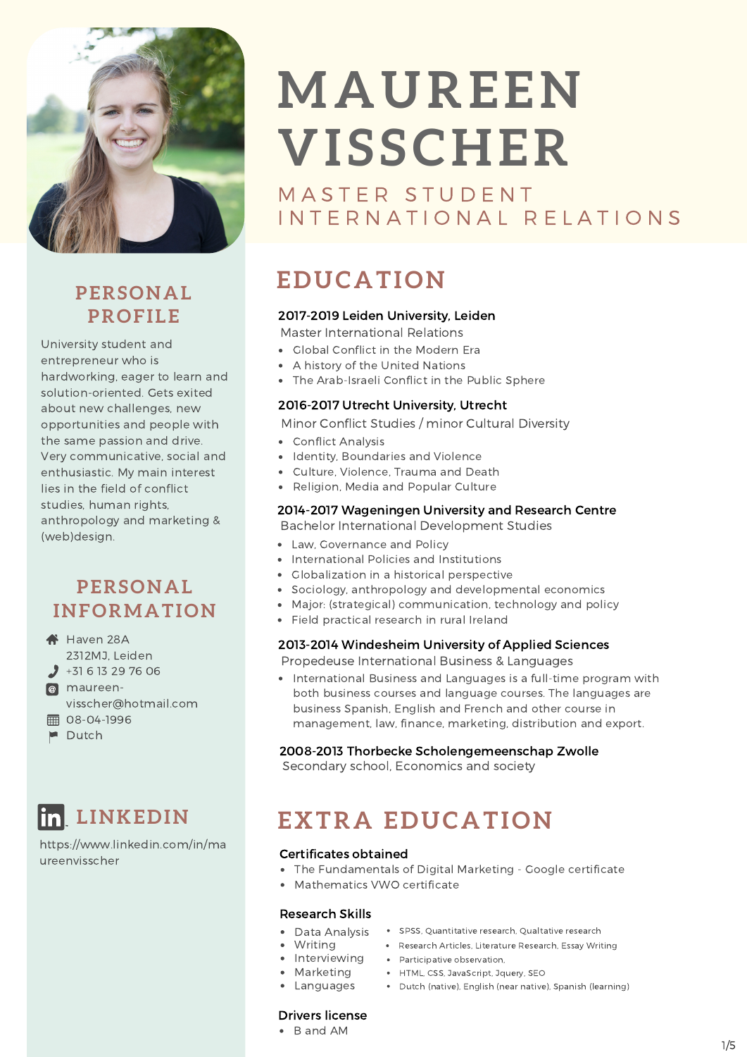

## **PROFILE**

University student and entrepreneur who is hardworking, eager to learn and solution-oriented. Gets exited about new challenges, new opportunities and people with the same passion and drive. Very communicative, social and enthusiastic. My main interest lies in the field of conflict studies, human rights, anthropology and marketing & (web)design.

#### **PERSONAL INFORMATION**

- **A** Haven 28A
- 2312MJ, Leiden  $-31$  6 13 29 76 06
- **@** maureen-
- visscher@hotmail.com
- **08-04-1996**
- $\blacksquare$  Dutch

## **LINKEDIN**

https://www.linkedin.com/in/ma ureenvisscher

# **MAUREEN VI S SCHER**

MASTER STUDENT I N T E R N A T I O N A L R E L A T I O N S

## **EDUCATION PERSONAL**

#### 2017-2019 Leiden University, Leiden

Master International Relations

- Global Conflict in the Modern Era
- A history of the United Nations
- The Arab-Israeli Conflict in the Public Sphere

#### 2016-2017 Utrecht University, Utrecht

Minor Conflict Studies / minor Cultural Diversity

- Conflict Analysis
- Identity, Boundaries and Violence
- Culture, Violence, Trauma and Death
- Religion, Media and Popular Culture

#### 2014-2017 Wageningen University and Research Centre

Bachelor International Development Studies

- Law, Governance and Policy
- International Policies and Institutions
- Globalization in a historical perspective
- Sociology, anthropology and developmental economics
- Major: (strategical) communication, technology and policy
- Field practical research in rural Ireland

#### 2013-2014 Windesheim University of Applied Sciences

Propedeuse International Business & Languages

• International Business and Languages is a full-time program with both business courses and language courses. The languages are business Spanish, English and French and other course in management, law, finance, marketing, distribution and export.

#### 2008-2013 Thorbecke Scholengemeenschap Zwolle

Secondary school, Economics and society

## **EXTRA EDUCATION**

#### Certificates obtained

- The Fundamentals of Digital Marketing Google certificate
- Mathematics VWO certificate

#### Research Skills

- Data Analysis SPSS, Quantitative research, Qualtative research
- 
- Writing **Research Articles, Literature Research, Essay Writing** 
	- Interviewing · Participative observation,
	- Marketing HTML, CSS, JavaScript, Jquery, SEO
- Languages Dutch (native), English (near native), Spanish (learning)

#### Drivers license

B and AM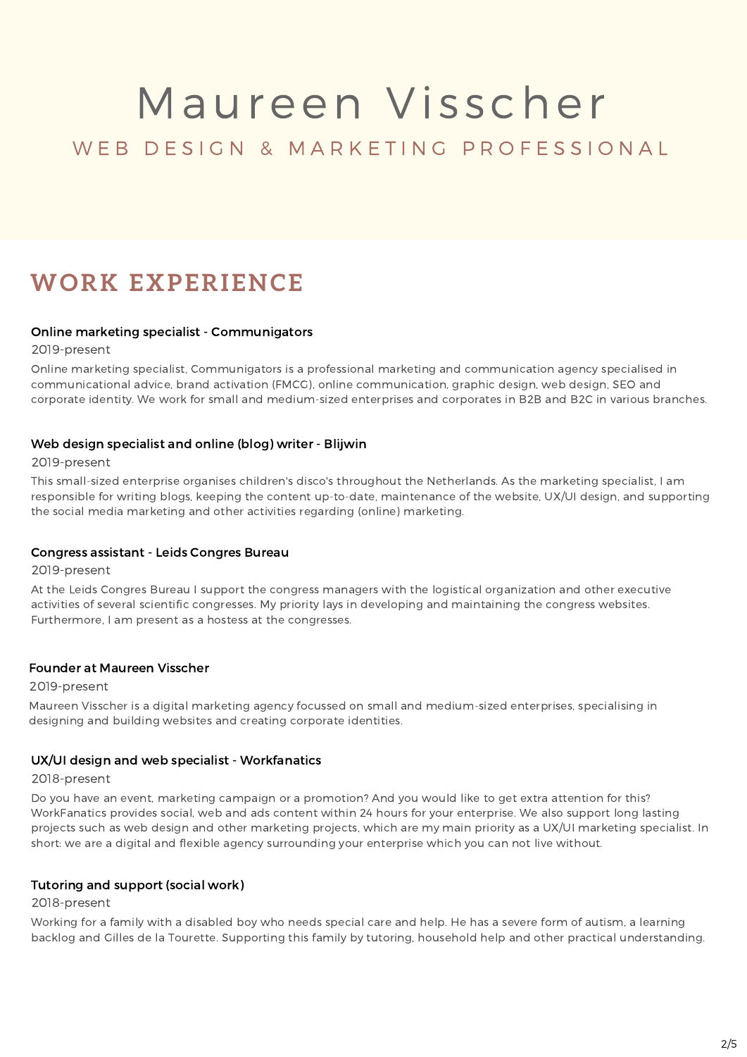### WEB DESIGN & MARKETING PROFESSIONAL

### **WORK EXPERIENCE**

#### Online marketing specialist - Communigators

2019-present

Online marketing specialist, Communigators is a professional marketing and communication agency specialised in communicational advice, brand activation (FMCG), online communication, graphic design, web design, SEO and corporate identity. We work for small and medium-sized enterprises and corporates in B2B and B2C in various branches.

#### Web design specialist and online (blog) writer - Blijwin

2019-present

This small-sized enterprise organises children's disco's throughout the Netherlands. As the marketing specialist, I am responsible for writing blogs, keeping the content up-to-date, maintenance of the website, UX/UI design, and supporting the social media marketing and other activities regarding (online) marketing.

#### Congress assistant - Leids Congres Bureau

2019-present

At the Leids Congres Bureau I support the congress managers with the logistical organization and other executive activities of several scientific congresses. My priority lays in developing and maintaining the congress websites. Furthermore, I am present as a hostess at the congresses.

#### Founder at Maureen Visscher

#### 2019-present

Maureen Visscher is a digital marketing agency focussed on small and medium-sized enterprises, specialising in designing and building websites and creating corporate identities.

#### UX/UI design and web specialist - Workfanatics

2018-present

Do you have an event, marketing campaign or a promotion? And you would like to get extra attention for this? WorkFanatics provides social, web and ads content within 24 hours for your enterprise. We also support long lasting projects such as web design and other marketing projects, which are my main priority as a UX/UI marketing specialist. In short: we are a digital and flexible agency surrounding your enterprise which you can not live without.

#### Tutoring and support (social work)

#### 2018-present

Working for a family with a disabled boy who needs special care and help. He has a severe form of autism, a learning backlog and Gilles de la Tourette. Supporting this family by tutoring, household help and other practical understanding.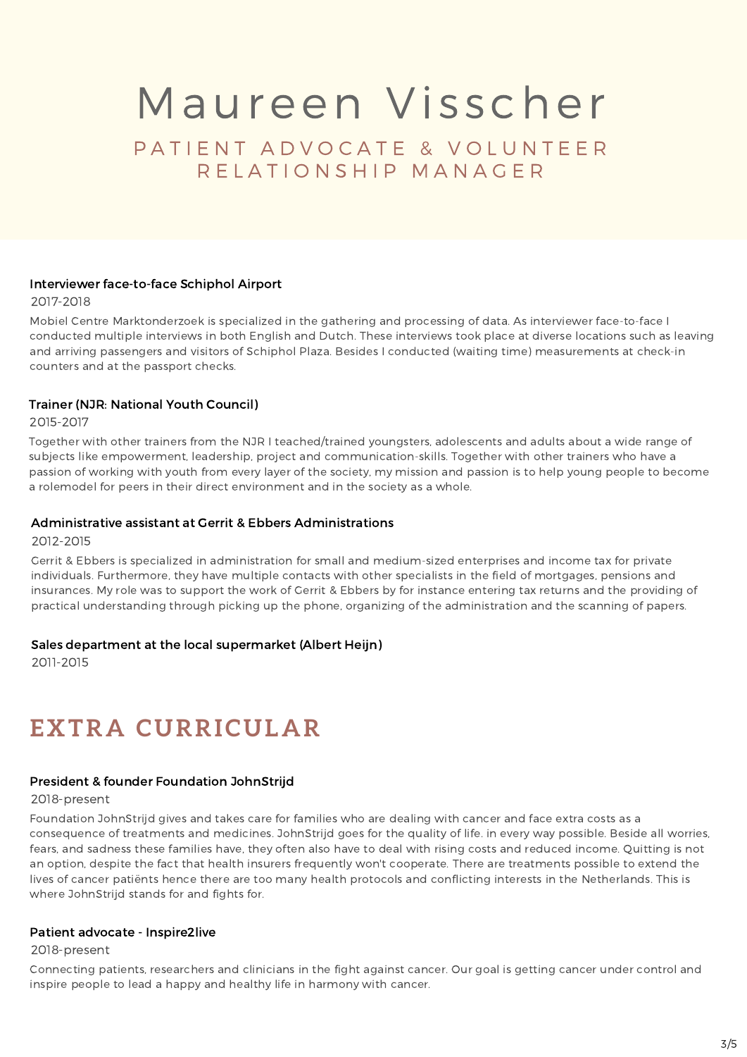PATIENT ADVOCATE & VOLUNTEER R E L A T I O N S H I P M A N A G E R

#### Interviewer face-to-face Schiphol Airport

2017-2018

Mobiel Centre Marktonderzoek is specialized in the gathering and processing of data. As interviewer face-to-face I conducted multiple interviews in both English and Dutch. These interviews took place at diverse locations such as leaving and arriving passengers and visitors of Schiphol Plaza. Besides I conducted (waiting time) measurements at check-in counters and at the passport checks.

#### Trainer (NJR: National Youth Council)

2015-2017

Together with other trainers from the NJR I teached/trained youngsters, adolescents and adults about a wide range of subjects like empowerment, leadership, project and communication-skills. Together with other trainers who have a passion of working with youth from every layer of the society, my mission and passion is to help young people to become a rolemodel for peers in their direct environment and in the society as a whole.

#### Administrative assistant at Gerrit & Ebbers Administrations

2012-2015

Gerrit & Ebbers is specialized in administration for small and medium-sized enterprises and income tax for private individuals. Furthermore, they have multiple contacts with other specialists in the field of mortgages, pensions and insurances. My role was to support the work of Gerrit & Ebbers by for instance entering tax returns and the providing of practical understanding through picking up the phone, organizing of the administration and the scanning of papers.

#### Sales department at the local supermarket (Albert Heijn)

2011-2015

## **EXTRA CURRICULAR**

#### President & founder Foundation JohnStrijd

#### 2018-present

Foundation JohnStrijd gives and takes care for families who are dealing with cancer and face extra costs as a consequence of treatments and medicines. JohnStrijd goes for the quality of life. in every way possible. Beside all worries, fears, and sadness these families have, they often also have to deal with rising costs and reduced income. Quitting is not an option, despite the fact that health insurers frequently won't cooperate. There are treatments possible to extend the lives of cancer patiënts hence there are too many health protocols and conflicting interests in the Netherlands. This is where JohnStrijd stands for and fights for.

#### Patient advocate - Inspire2live

2018-present

Connecting patients, researchers and clinicians in the fight against cancer. Our goal is getting cancer under control and inspire people to lead a happy and healthy life in harmony with cancer.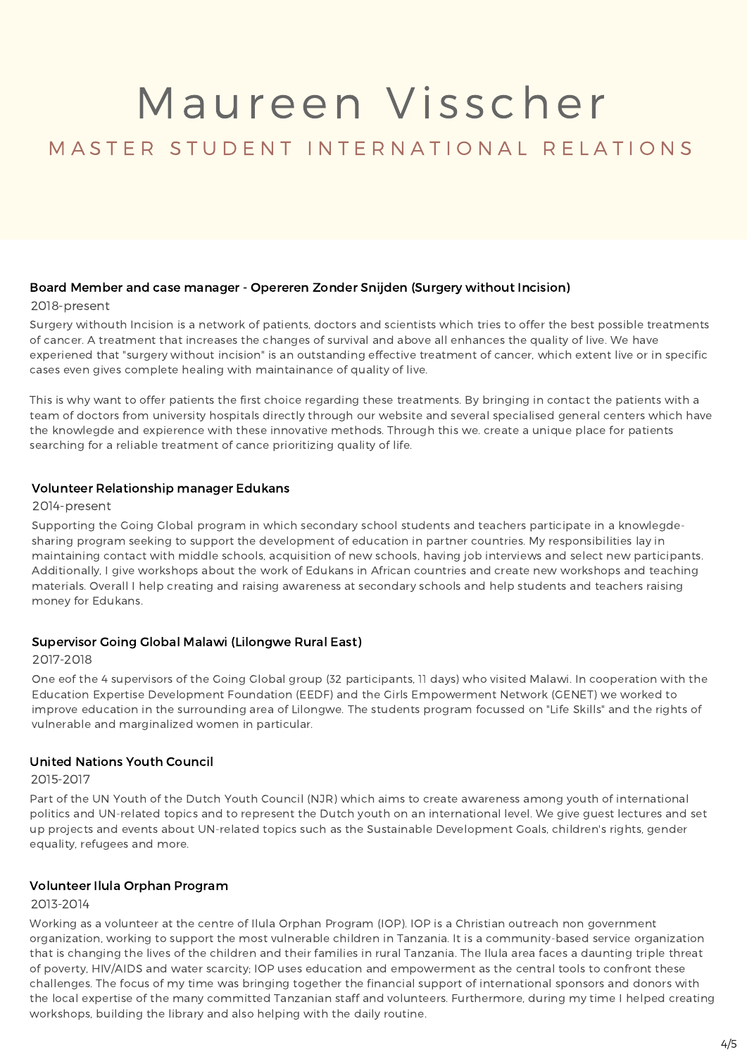#### M A S T E R S T U D E N T I N T E R N A T I O N A L R E L A T I O N S

#### Board Member and case manager - Opereren Zonder Snijden (Surgery without Incision)

#### 2018-present

Surgery withouth Incision is a network of patients, doctors and scientists which tries to offer the best possible treatments of cancer. A treatment that increases the changes of survival and above all enhances the quality of live. We have experiened that "surgery without incision" is an outstanding effective treatment of cancer, which extent live or in specific cases even gives complete healing with maintainance of quality of live.

This is why want to offer patients the first choice regarding these treatments. By bringing in contact the patients with a team of doctors from university hospitals directly through our website and several specialised general centers which have the knowlegde and expierence with these innovative methods. Through this we. create a unique place for patients searching for a reliable treatment of cance prioritizing quality of life.

#### Volunteer Relationship manager Edukans

#### 2014-present

Supporting the Going Global program in which secondary school students and teachers participate in a knowlegdesharing program seeking to support the development of education in partner countries. My responsibilities lay in maintaining contact with middle schools, acquisition of new schools, having job interviews and select new participants. Additionally, I give workshops about the work of Edukans in African countries and create new workshops and teaching materials. Overall I help creating and raising awareness at secondary schools and help students and teachers raising money for Edukans.

#### Supervisor Going Global Malawi (Lilongwe Rural East)

#### 2017-2018

One eof the 4 supervisors of the Going Global group (32 participants, 11 days) who visited Malawi. In cooperation with the Education Expertise Development Foundation (EEDF) and the Girls Empowerment Network (GENET) we worked to improve education in the surrounding area of Lilongwe. The students program focussed on "Life Skills" and the rights of vulnerable and marginalized women in particular.

#### United Nations Youth Council

#### 2015-2017

Part of the UN Youth of the Dutch Youth Council (NJR) which aims to create awareness among youth of international politics and UN-related topics and to represent the Dutch youth on an international level. We give guest lectures and set up projects and events about UN-related topics such as the Sustainable Development Goals, children's rights, gender equality, refugees and more.

#### Volunteer Ilula Orphan Program

#### 2013-2014

Working as a volunteer at the centre of Ilula Orphan Program (IOP). IOP is a Christian outreach non government organization, working to support the most vulnerable children in Tanzania. It is a community-based service organization that is changing the lives of the children and their families in rural Tanzania. The Ilula area faces a daunting triple threat of poverty, HIV/AIDS and water scarcity; IOP uses education and empowerment as the central tools to confront these challenges. The focus of my time was bringing together the financial support of international sponsors and donors with the local expertise of the many committed Tanzanian staff and volunteers. Furthermore, during my time I helped creating workshops, building the library and also helping with the daily routine.